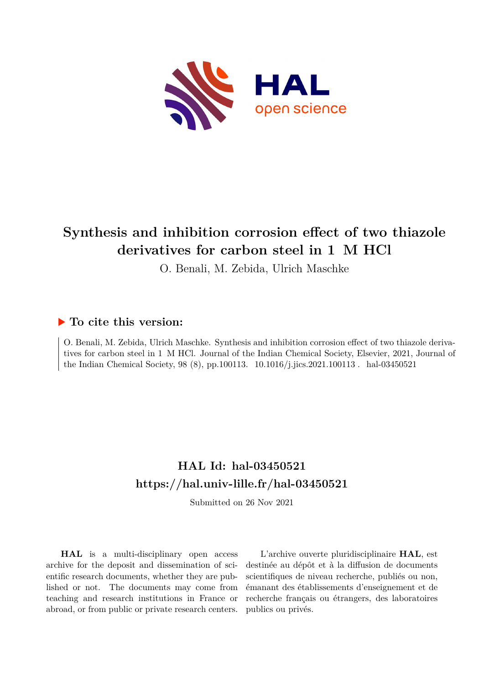

# **Synthesis and inhibition corrosion effect of two thiazole derivatives for carbon steel in 1 M HCl**

O. Benali, M. Zebida, Ulrich Maschke

# **To cite this version:**

O. Benali, M. Zebida, Ulrich Maschke. Synthesis and inhibition corrosion effect of two thiazole derivatives for carbon steel in 1 M HCl. Journal of the Indian Chemical Society, Elsevier, 2021, Journal of the Indian Chemical Society, 98 (8), pp.100113.  $10.1016/j.jics.2021.100113$ . hal-03450521

# **HAL Id: hal-03450521 <https://hal.univ-lille.fr/hal-03450521>**

Submitted on 26 Nov 2021

**HAL** is a multi-disciplinary open access archive for the deposit and dissemination of scientific research documents, whether they are published or not. The documents may come from teaching and research institutions in France or abroad, or from public or private research centers.

L'archive ouverte pluridisciplinaire **HAL**, est destinée au dépôt et à la diffusion de documents scientifiques de niveau recherche, publiés ou non, émanant des établissements d'enseignement et de recherche français ou étrangers, des laboratoires publics ou privés.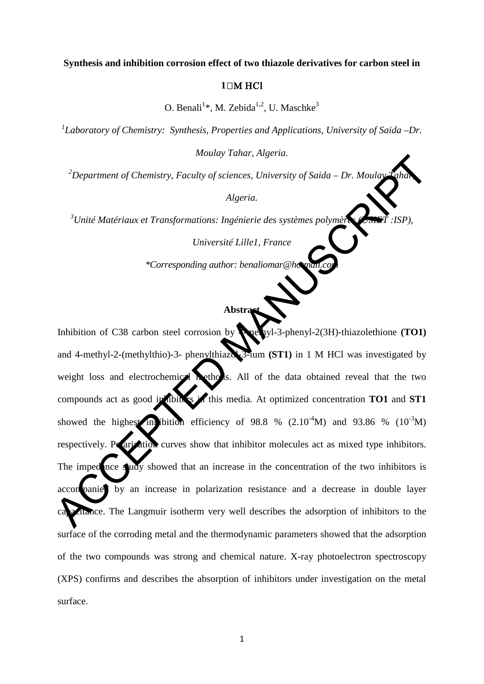#### **Synthesis and inhibition corrosion effect of two thiazole derivatives for carbon steel in**

## **1** M HCl

O. Benali<sup>1</sup>\*, M. Zebida<sup>1,2</sup>, U. Maschke<sup>3</sup>

<sup>1</sup> Laboratory of Chemistry: Synthesis, Properties and Applications, University of Saida –Dr.

*Moulay Tahar, Algeria.* 

*2 Department of Chemistry, Faculty of sciences, University of Saida – Dr. Moulay Tahar,* 

*Algeria.* 

*3 Unité Matériaux et Transformations: Ingénierie des systèmes polymères (UMET :ISP),* 

*Université Lille1, France*

*\*Corresponding author: benaliomar@hotmail.com*

# **Abstra**

Inhibition of C38 carbon steel corrosion by **Amethyl-3-phenyl-2(3H)-thiazolethione (TO1)** and 4-methyl-2-(methylthio)-3- phenylthiazol-3-ium **(ST1)** in 1 M HCl was investigated by weight loss and electrochemical methods. All of the data obtained reveal that the two compounds act as good in this is this media. At optimized concentration **TO1** and **ST1** showed the highest inhibition efficiency of 98.8 %  $(2.10^{-4}M)$  and 93.86 %  $(10^{-3}M)$ respectively. Polarization curves show that inhibitor molecules act as mixed type inhibitors. The impedence study showed that an increase in the concentration of the two inhibitors is accompanied by an increase in polarization resistance and a decrease in double layer citance. The Langmuir isotherm very well describes the adsorption of inhibitors to the surface of the corroding metal and the thermodynamic parameters showed that the adsorption of the two compounds was strong and chemical nature. X-ray photoelectron spectroscopy (XPS) confirms and describes the absorption of inhibitors under investigation on the metal surface. Algeria.<br>
<sup>2</sup>Department of Chemistry, Faculty of sciences, University of Saida – Dr. Mouland Algeria.<br>
Algeria.<br>
<sup>3</sup>Unité Matériaux et Transformations: Ingénierie des systèmes polymes.<br>
Université Lillel, France<br>
<sup>4</sup>Corres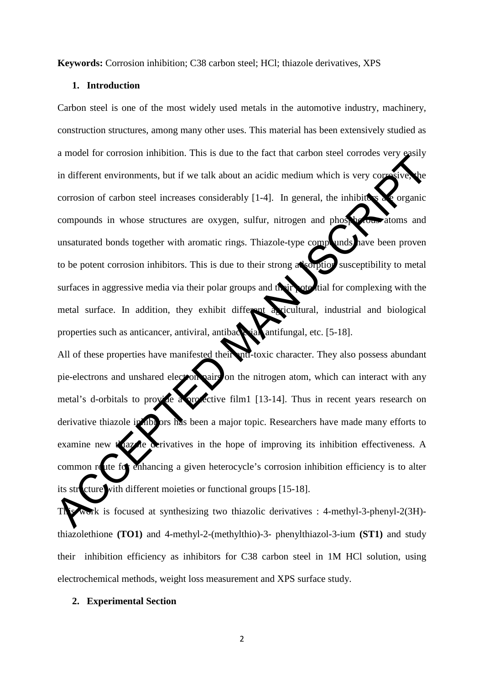**Keywords:** Corrosion inhibition; C38 carbon steel; HCl; thiazole derivatives, XPS

## **1. Introduction**

Carbon steel is one of the most widely used metals in the automotive industry, machinery, construction structures, among many other uses. This material has been extensively studied as a model for corrosion inhibition. This is due to the fact that carbon steel corrodes very easily in different environments, but if we talk about an acidic medium which is very corrosive, the corrosion of carbon steel increases considerably  $[1-4]$ . In general, the inhibitors are organic compounds in whose structures are oxygen, sulfur, nitrogen and phosphorous atoms and unsaturated bonds together with aromatic rings. Thiazole-type compounds have been proven to be potent corrosion inhibitors. This is due to their strong alsorption susceptibility to metal surfaces in aggressive media via their polar groups and their oted tial for complexing with the metal surface. In addition, they exhibit different agricultural, industrial and biological properties such as anticancer, antiviral, antibacterial, antifungal, etc. [5-18]. a model in consistent introduce. This is one of the the transformation is the correction of carbon and inferent environments, but if we talk about an acidic medium which is very compounds in whose structures are oxygen, su

All of these properties have manifested their nu-toxic character. They also possess abundant pie-electrons and unshared electron pairs on the nitrogen atom, which can interact with any metal's d-orbitals to provide a projective film1 [13-14]. Thus in recent years research on derivative thiazole in hibitors has been a major topic. Researchers have made many efforts to examine new the azone derivatives in the hope of improving its inhibition effectiveness. A common route for enhancing a given heterocycle's corrosion inhibition efficiency is to alter its str**c**ture with different moieties or functional groups [15-18].

This work is focused at synthesizing two thiazolic derivatives : 4-methyl-3-phenyl-2(3H) thiazolethione **(TO1)** and 4-methyl-2-(methylthio)-3- phenylthiazol-3-ium **(ST1)** and study their inhibition efficiency as inhibitors for C38 carbon steel in 1M HCl solution, using electrochemical methods, weight loss measurement and XPS surface study.

#### **2. Experimental Section**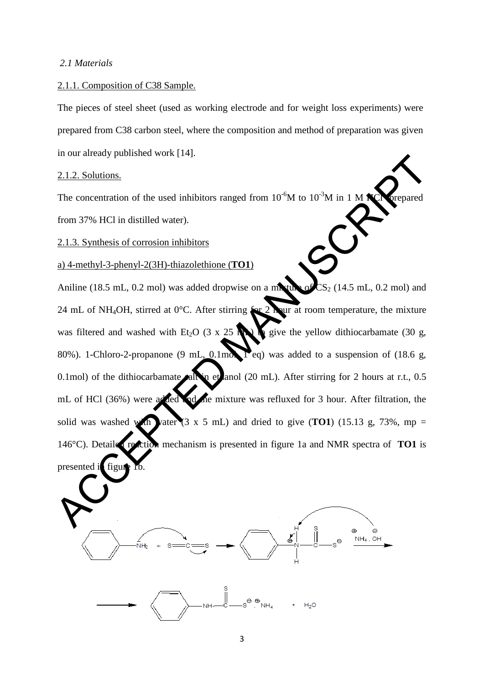#### *2.1 Materials*

#### 2.1.1. Composition of C38 Sample.

The pieces of steel sheet (used as working electrode and for weight loss experiments) were prepared from C38 carbon steel, where the composition and method of preparation was given in our already published work [14].

### 2.1.2. Solutions.

presented in figure

The concentration of the used inhibitors ranged from  $10^{-6}M$  to  $10^{-3}M$  in 1 M **NC** orepared from 37% HCl in distilled water).

2.1.3. Synthesis of corrosion inhibitors

a) 4-methyl-3-phenyl-2(3H)-thiazolethione (**TO1**)

Aniline (18.5 mL, 0.2 mol) was added dropwise on a mixture of  $CS_2$  (14.5 mL, 0.2 mol) and 24 mL of NH<sub>4</sub>OH, stirred at 0<sup>o</sup>C. After stirring for 2 hour at room temperature, the mixture was filtered and washed with Et<sub>2</sub>O (3 x 25 mL) to give the yellow dithiocarbamate (30 g, 80%). 1-Chloro-2-propanone (9 mL,  $\Omega$ .1mol,  $\Gamma$ eq) was added to a suspension of (18.6 g, 0.1mol) of the dithiocarbamate all in ethanol (20 mL). After stirring for 2 hours at r.t.,  $0.5$ mL of HCl (36%) were added and the mixture was refluxed for 3 hour. After filtration, the solid was washed with vater  $(3 \times 5 \text{ mL})$  and dried to give  $(TO1)$  (15.13 g, 73%, mp = 146°C). Detailed reaction mechanism is presented in figure 1a and NMR spectra of **TO1** is 2.1.2. Solutions.<br>
The concentration of the used inhibitors ranged from 10°M to 10°M in 1 M **R**eepared<br>
from 37% HCl in distilled water).<br>
2.1.3. Synthesis of corrosion inhibitors<br>
2.1.4. Synthesis of corrosion inhibitors



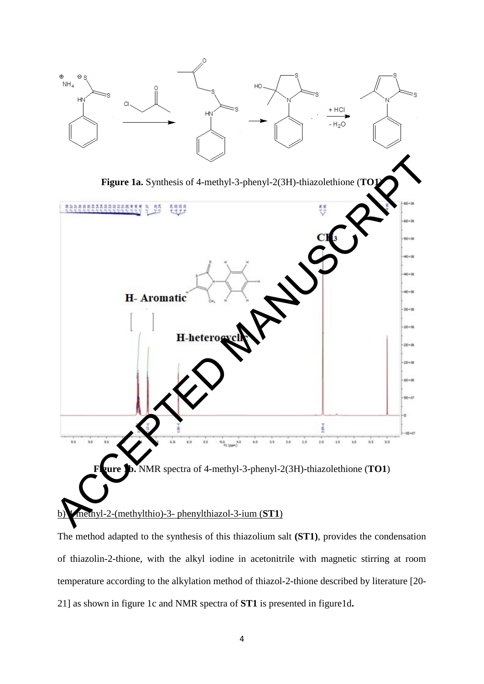

The method adapted to the synthesis of this thiazolium salt **(ST1)**, provides the condensation of thiazolin-2-thione, with the alkyl iodine in acetonitrile with magnetic stirring at room temperature according to the alkylation method of thiazol-2-thione described by literature [20- 21] as shown in figure 1c and NMR spectra of **ST1** is presented in figure1d**.**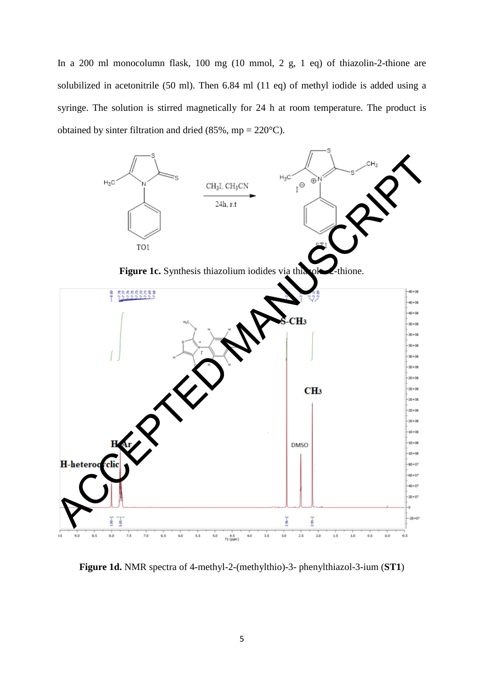In a 200 ml monocolumn flask, 100 mg (10 mmol, 2 g, 1 eq) of thiazolin-2-thione are solubilized in acetonitrile (50 ml). Then 6.84 ml (11 eq) of methyl iodide is added using a syringe. The solution is stirred magnetically for 24 h at room temperature. The product is obtained by sinter filtration and dried (85%, mp =  $220^{\circ}$ C).



**Figure 1d.** NMR spectra of 4-methyl-2-(methylthio)-3- phenylthiazol-3-ium (**ST1**)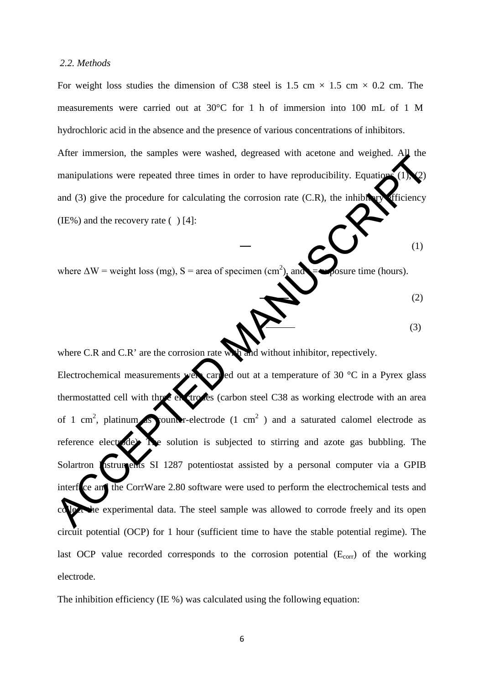## *2.2. Methods*

For weight loss studies the dimension of C38 steel is 1.5 cm  $\times$  1.5 cm  $\times$  0.2 cm. The measurements were carried out at 30°C for 1 h of immersion into 100 mL of 1 M hydrochloric acid in the absence and the presence of various concentrations of inhibitors.

After immersion, the samples were washed, degreased with acetone and weighed. All the manipulations were repeated three times in order to have reproducibility. Equations  $(1)$ and  $(3)$  give the procedure for calculating the corrosion rate  $(C.R)$ , the inhibitory efficiency (IE%) and the recovery rate  $( )$  [4]:

where  $\Delta W$  = weight loss (mg), S = area of specimen (cm<sup>2</sup>), and posure time (hours).

(2)

$$
\sum_{(3)}
$$

 $\bullet$  (1)

where C.R and C.R' are the corrosion rate with and without inhibitor, repectively. Electrochemical measurements were carried out at a temperature of 30  $^{\circ}$ C in a Pyrex glass thermostatted cell with three extrodes (carbon steel C38 as working electrode with an area of 1 cm<sup>2</sup>, platinum Solumb r-electrode (1 cm<sup>2</sup>) and a saturated calomel electrode as reference electrode). The solution is subjected to stirring and azote gas bubbling. The Solartron Instruments SI 1287 potentiostat assisted by a personal computer via a GPIB interf<sub>ce</sub> and the CorrWare 2.80 software were used to perform the electrochemical tests and the experimental data. The steel sample was allowed to corrode freely and its open circuit potential (OCP) for 1 hour (sufficient time to have the stable potential regime). The last OCP value recorded corresponds to the corrosion potential  $(E_{\text{corr}})$  of the working electrode. Their immetsion, the samples were wanted, degrees with metodic and vergical<br>manipulations were repeated three times in order to have reproducibility. Equation and (3) give the procedure for calculating the corrosion rate

The inhibition efficiency (IE %) was calculated using the following equation: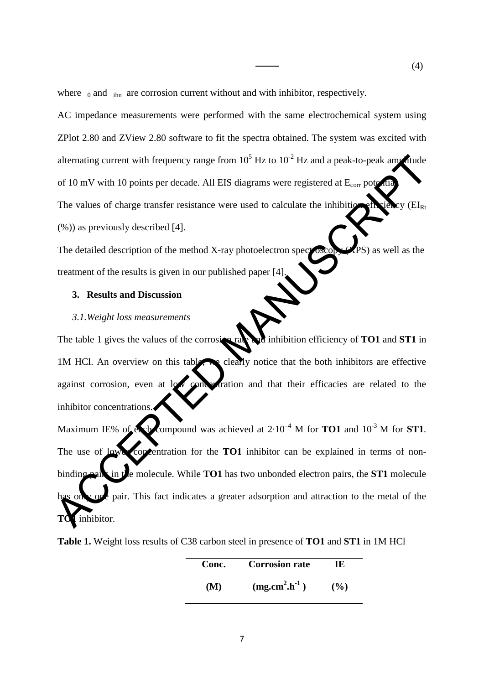where  $_0$  and  $_{\text{ihn}}$  are corrosion current without and with inhibitor, respectively.

AC impedance measurements were performed with the same electrochemical system using ZPlot 2.80 and ZView 2.80 software to fit the spectra obtained. The system was excited with alternating current with frequency range from  $10^5$  Hz to  $10^{-2}$  Hz and a peak-to-peak amplitude of 10 mV with 10 points per decade. All EIS diagrams were registered at  $E_{\text{corr}}$  pot The values of charge transfer resistance were used to calculate the inhibition efficiency ( $EI_{Rt}$ ) (%)) as previously described [4].

The detailed description of the method X-ray photoelectron spectroscopy (XPS) as well as the treatment of the results is given in our published paper [4].

#### **3. Results and Discussion**

#### *3.1.Weight loss measurements*

The table 1 gives the values of the corrosion rate and inhibition efficiency of **TO1** and **ST1** in 1M HCl. An overview on this table, we clearly notice that the both inhibitors are effective against corrosion, even at low concentration and that their efficacies are related to the inhibitor concentrations.

Maximum IE% of expression was achieved at  $2.10^{-4}$  M for **TO1** and  $10^{-3}$  M for **ST1**. The use of lower concentration for the **TO1** inhibitor can be explained in terms of nonbinding pair in the molecule. While **TO1** has two unbonded electron pairs, the **ST1** molecule has only one pair. This fact indicates a greater adsorption and attraction to the metal of the  $\int$ **inhibitor**. alternating current with frequency range from  $10^3$  Hz to  $10^{-2}$  Hz and a peak-to-peak amplitude<br>of 10 mV with 10 points per decade. All EIS diagrams were registered at  $\epsilon_{\rm{var}}$  points<br>The values of charge transfer re

**Table 1.** Weight loss results of C38 carbon steel in presence of **TO1** and **ST1** in 1M HCl

| Conc. | <b>Corrosion rate</b> | TE.    |
|-------|-----------------------|--------|
| (M)   | $(mg.cm2 \cdot h-1)$  | $($ %) |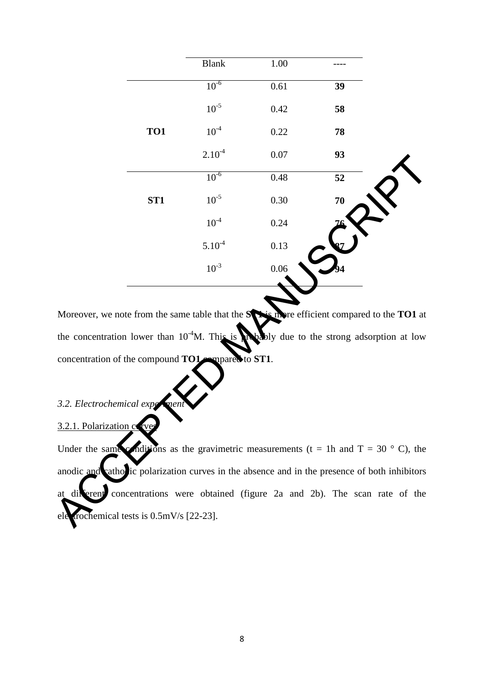|                 | <b>Blank</b> | $1.00\,$ |    |
|-----------------|--------------|----------|----|
|                 | $10^{-6}$    | 0.61     | 39 |
|                 | $10^{-5}$    | 0.42     | 58 |
| TO1             | $10^{-4}$    | 0.22     | 78 |
|                 | $2.10^{-4}$  | $0.07\,$ | 93 |
|                 | $10^{-6}$    | 0.48     | 52 |
| ST <sub>1</sub> | $10^{-5}$    | 0.30     | 70 |
|                 | $10^{-4}$    | 0.24     |    |
|                 | $5.10^{-4}$  | 0.13     |    |
|                 | $10^{-3}$    | 0.06     |    |

Moreover, we note from the same table that the **STA** is more efficient compared to the **TO1** at the concentration lower than  $10^{-4}$ M. This is probably due to the strong adsorption at low concentration of the compound **TO1** compared to **ST1**.

# 3.2. *Electrochemical exp*

# 3.2.1. Polarization c

Under the same conditions as the gravimetric measurements (t = 1h and T = 30  $\degree$  C), the anodic and cathodic polarization curves in the absence and in the presence of both inhibitors at different concentrations were obtained (figure 2a and 2b). The scan rate of the ele crochemical tests is  $0.5 \text{mV/s}$  [22-23]. Concentration of the compound TO1<br>
3.2. Electrochemical experient<br>
3.2.1. Polarization of Web<br>
Under the same conditions as the gravimetri<br>
anodic and catholic polarization curves in the<br>
at diverent concentrations were ob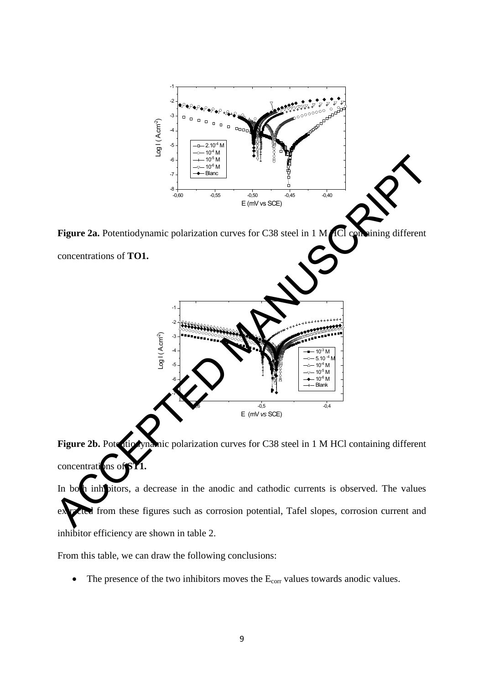

Figure 2b. Potentiodynamic polarization curves for C38 steel in 1 M HCl containing different concentrations of S

In both inhibitors, a decrease in the anodic and cathodic currents is observed. The values extracted from these figures such as corrosion potential, Tafel slopes, corrosion current and inhibitor efficiency are shown in table 2.

From this table, we can draw the following conclusions:

• The presence of the two inhibitors moves the  $E_{corr}$  values towards anodic values.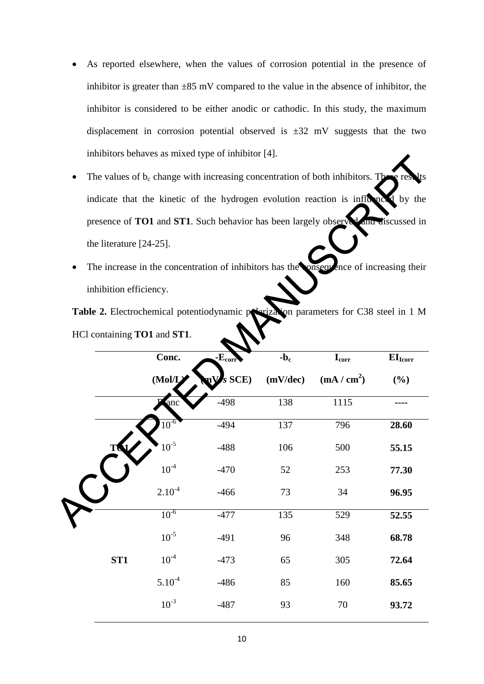- As reported elsewhere, when the values of corrosion potential in the presence of inhibitor is greater than  $\pm 85$  mV compared to the value in the absence of inhibitor, the inhibitor is considered to be either anodic or cathodic. In this study, the maximum displacement in corrosion potential observed is  $\pm 32$  mV suggests that the two inhibitors behaves as mixed type of inhibitor [4].
- The values of  $b_c$  change with increasing concentration of both inhibitors. The indicate that the kinetic of the hydrogen evolution reaction is influenced by the presence of **TO1** and **ST1**. Such behavior has been largely observed and discussed in the literature [24-25].
- The increase in the concentration of inhibitors has the onsequence of increasing their inhibition efficiency.

|                            |                              |          |          | The values of $b_c$ change with increasing concentration of both inhibitors. The       | lts<br>se res       |
|----------------------------|------------------------------|----------|----------|----------------------------------------------------------------------------------------|---------------------|
|                            |                              |          |          | indicate that the kinetic of the hydrogen evolution reaction is influenced by the      |                     |
|                            |                              |          |          | presence of TO1 and ST1. Such behavior has been largely observed and discussed in      |                     |
| the literature $[24-25]$ . |                              |          |          |                                                                                        |                     |
|                            |                              |          |          | The increase in the concentration of inhibitors has the onsequence of increasing their |                     |
| inhibition efficiency.     |                              |          |          |                                                                                        |                     |
|                            |                              |          |          | Table 2. Electrochemical potentiodynamic programs parameters for C38 steel in 1 M      |                     |
|                            | HCl containing TO1 and ST1.  |          |          |                                                                                        |                     |
|                            | Conc.                        | $-Ecorr$ | $-b_c$   | $I_{corr}$                                                                             | EI <sub>lcorr</sub> |
|                            | (Mol/L)                      | $s$ SCE) | (mV/dec) | (mA/cm <sup>2</sup> )                                                                  | (%)                 |
|                            | anc                          | $-498$   | 138      | 1115                                                                                   |                     |
|                            | $10^{-6}$                    | $-494$   | 137      | 796                                                                                    | 28.60               |
|                            | $10^{-5}$                    | $-488$   | 106      | 500                                                                                    | 55.15               |
|                            | $10^{\mbox{\scriptsize -4}}$ | $-470$   | 52       | 253                                                                                    | 77.30               |
|                            | $2.10^{-4}$                  | $-466$   | 73       | 34                                                                                     | 96.95               |
|                            | $10^{-6}$                    | $-477$   | 135      | 529                                                                                    | 52.55               |
|                            | $10^{-5}$                    | $-491$   | 96       | 348                                                                                    | 68.78               |
| ST <sub>1</sub>            | $10^{-4}$                    | $-473$   | 65       | 305                                                                                    | 72.64               |
|                            | $5.10^{-4}$                  | $-486$   | 85       | 160                                                                                    | 85.65               |
|                            | $10^{-3}$                    | $-487$   | 93       | $70\,$                                                                                 | 93.72               |
|                            |                              |          |          |                                                                                        |                     |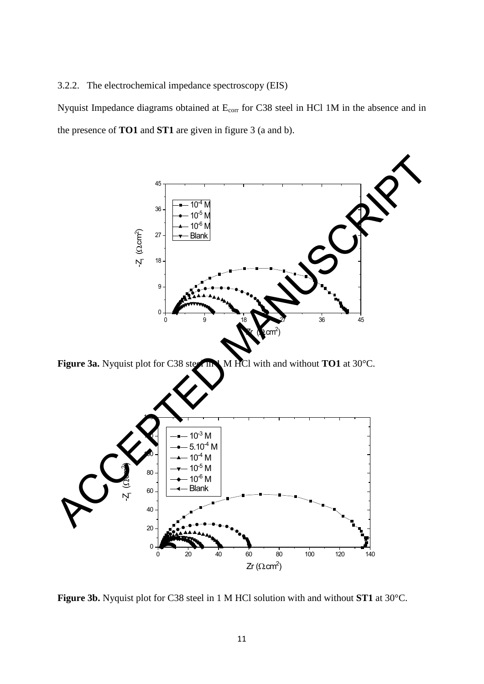3.2.2. The electrochemical impedance spectroscopy (EIS)

Nyquist Impedance diagrams obtained at E<sub>corr</sub> for C38 steel in HCl 1M in the absence and in the presence of **TO1** and **ST1** are given in figure 3 (a and b).



Figure 3a. Nyquist plot for C38 steel In 1 M HCl with and without **TO1** at 30°C.



**Figure 3b.** Nyquist plot for C38 steel in 1 M HCl solution with and without **ST1** at 30°C.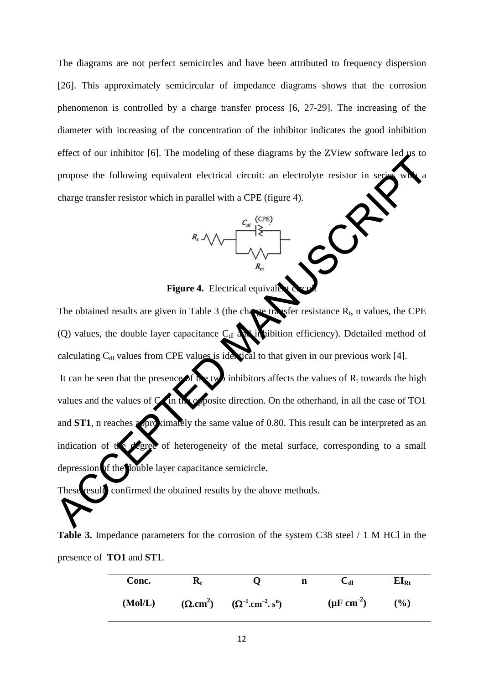The diagrams are not perfect semicircles and have been attributed to frequency dispersion [26]. This approximately semicircular of impedance diagrams shows that the corrosion phenomenon is controlled by a charge transfer process [6, 27-29]. The increasing of the diameter with increasing of the concentration of the inhibitor indicates the good inhibition effect of our inhibitor [6]. The modeling of these diagrams by the ZView software led us to propose the following equivalent electrical circuit: an electrolyte resistor in ser charge transfer resistor which in parallel with a CPE (figure 4).



**Figure 4.** Electrical equival

The obtained results are given in Table 3 (the change transfer resistance  $R_t$ , n values, the CPE (Q) values, the double layer capacitance  $C_{d}$  and in hibition efficiency). Ddetailed method of calculating  $C_{d}$  values from CPE values is identical to that given in our previous work [4].

It can be seen that the presence of the two inhibitors affects the values of  $R_t$  towards the high values and the values of  $C_{\rm d}$  in the opposite direction. On the otherhand, in all the case of TO1 and **ST1**, n reaches a proximately the same value of 0.80. This result can be interpreted as an indication of the degree of heterogeneity of the metal surface, corresponding to a small depression of the double layer capacitance semicircle. propose the following equivalent electrical circuit: an electrolyte resistor in section<br>propose the following equivalent electrical circuit: an electrolyte resistor in section<br>charge transfer resistor which in parallel wi

These result confirmed the obtained results by the above methods.

**Table 3.** Impedance parameters for the corrosion of the system C38 steel / 1 M HCl in the presence of **TO1** and **ST1**.

| Conc.   | $\mathbf{K}_\mathrm{f}$ |                                   | n | U⊌                       | $EI_{Rt}$ |
|---------|-------------------------|-----------------------------------|---|--------------------------|-----------|
| (Mol/L) |                         | $(Q.cm^2)$ $(Q^{-1}.cm^{-2}.s^n)$ |   | $(\mu \text{F cm}^{-2})$ | $(\%)$    |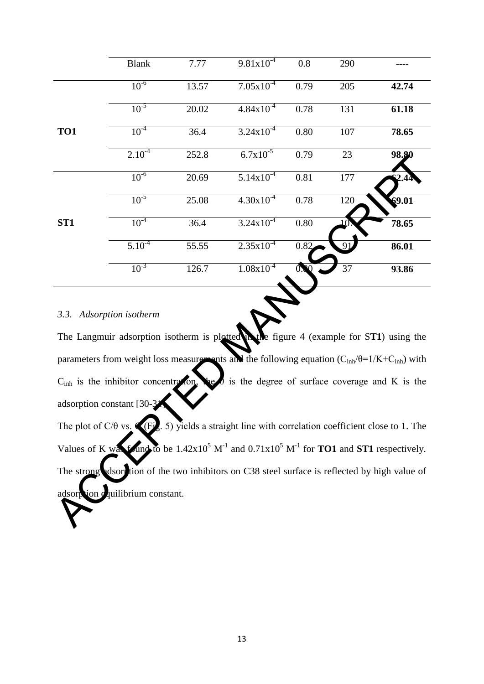|                                                                                                                                                                                                                                                                                                                                                                                                                                                                                                                                                                                                                                                                                                                                                                  | <b>Blank</b> | 7.77  | $9.81x10^{-4}$        | 0.8  | 290 |       |  |  |
|------------------------------------------------------------------------------------------------------------------------------------------------------------------------------------------------------------------------------------------------------------------------------------------------------------------------------------------------------------------------------------------------------------------------------------------------------------------------------------------------------------------------------------------------------------------------------------------------------------------------------------------------------------------------------------------------------------------------------------------------------------------|--------------|-------|-----------------------|------|-----|-------|--|--|
|                                                                                                                                                                                                                                                                                                                                                                                                                                                                                                                                                                                                                                                                                                                                                                  | $10^{-6}$    | 13.57 | $7.05x10^{-4}$        | 0.79 | 205 | 42.74 |  |  |
|                                                                                                                                                                                                                                                                                                                                                                                                                                                                                                                                                                                                                                                                                                                                                                  | $10^{-5}$    | 20.02 | $4.84 \times 10^{-4}$ | 0.78 | 131 | 61.18 |  |  |
| TO1                                                                                                                                                                                                                                                                                                                                                                                                                                                                                                                                                                                                                                                                                                                                                              | $10^{-4}$    | 36.4  | $3.24 \times 10^{-4}$ | 0.80 | 107 | 78.65 |  |  |
|                                                                                                                                                                                                                                                                                                                                                                                                                                                                                                                                                                                                                                                                                                                                                                  | $2.10^{-4}$  | 252.8 | $6.7x10^{-5}$         | 0.79 | 23  | 98.80 |  |  |
|                                                                                                                                                                                                                                                                                                                                                                                                                                                                                                                                                                                                                                                                                                                                                                  | $10^{-6}$    | 20.69 | $5.14x10^{-4}$        | 0.81 | 177 |       |  |  |
|                                                                                                                                                                                                                                                                                                                                                                                                                                                                                                                                                                                                                                                                                                                                                                  | $10^{-5}$    | 25.08 | $4.30x10^{-4}$        | 0.78 | 120 | 69.01 |  |  |
| ST <sub>1</sub>                                                                                                                                                                                                                                                                                                                                                                                                                                                                                                                                                                                                                                                                                                                                                  | $10^{-4}$    | 36.4  | $3.24 \times 10^{-4}$ | 0.80 |     | 78.65 |  |  |
|                                                                                                                                                                                                                                                                                                                                                                                                                                                                                                                                                                                                                                                                                                                                                                  | $5.10^{-4}$  | 55.55 | $2.35x10^{-4}$        | 0.82 |     | 86.01 |  |  |
|                                                                                                                                                                                                                                                                                                                                                                                                                                                                                                                                                                                                                                                                                                                                                                  | $10^{-3}$    | 126.7 | $1.08x10^{-4}$        |      | 37  | 93.86 |  |  |
| 3.3. Adsorption isotherm<br>The Langmuir adsorption isotherm is plotted in the figure 4 (example for ST1) using the<br>parameters from weight loss measure not and the following equation $(C_{inh}/\theta=1/K+C_{inh})$ with<br>is the degree of surface coverage and $K$ is the<br>C <sub>inh</sub> is the inhibitor concentration<br>adsorption constant [30-3]<br>The plot of C/ $\theta$ vs. (Fig. 5) yields a straight line with correlation coefficient close to 1. The<br>Values of K was fruid to be $1.42x10^5$ M <sup>-1</sup> and $0.71x10^5$ M <sup>-1</sup> for <b>TO1</b> and <b>ST1</b> respectively.<br>dsorption of the two inhibitors on C38 steel surface is reflected by high value of<br>The strong<br>ion equilibrium constant.<br>adsorp |              |       |                       |      |     |       |  |  |

## *3.3. Adsorption isotherm*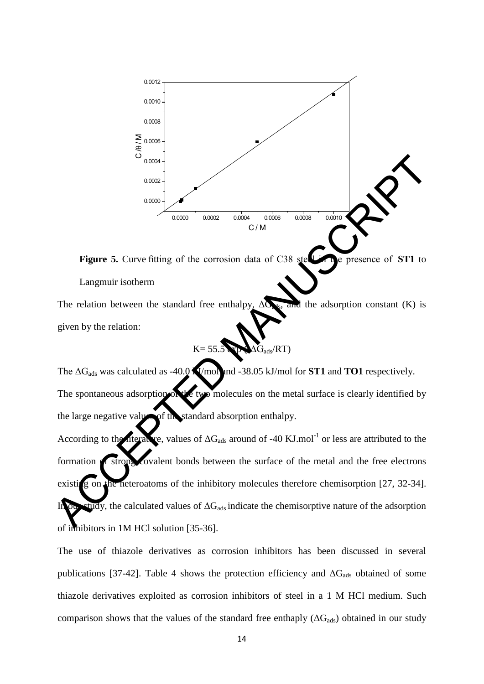

**Figure 5.** Curve fitting of the corrosion data of C38 steel in the presence of **ST1** to Langmuir isotherm

The relation between the standard free enthalpy,  $\Delta G_{\rm{ds}}$ , and the adsorption constant (K) is given by the relation:

$$
K = 55.5 \bullet \bullet \bullet \bullet G_{ads}/RT)
$$

The  $\Delta G_{\text{ads}}$  was calculated as -40.0 **K**/mol and -38.05 kJ/mol for **ST1** and **TO1** respectively. The spontaneous adsorption of the two molecules on the metal surface is clearly identified by the large negative values of the standard absorption enthalpy.

According to the literature, values of  $\Delta G_{ads}$  around of -40 KJ.mol<sup>-1</sup> or less are attributed to the formation **of strong covalent bonds between the surface of the metal and the free electrons** existing on the heteroatoms of the inhibitory molecules therefore chemisorption [27, 32-34].  $t$ udy, the calculated values of  $\Delta G_{ads}$  indicate the chemisorptive nature of the adsorption of inhibitors in 1M HCl solution [35-36]. Figure 5. Curve fitting of the corresion data of C38 second control control control control control control control control control control control control control control control control control (K) is given by the relat

The use of thiazole derivatives as corrosion inhibitors has been discussed in several publications [37-42]. Table 4 shows the protection efficiency and  $\Delta G_{ads}$  obtained of some thiazole derivatives exploited as corrosion inhibitors of steel in a 1 M HCl medium. Such comparison shows that the values of the standard free enthaply  $(\Delta G_{ads})$  obtained in our study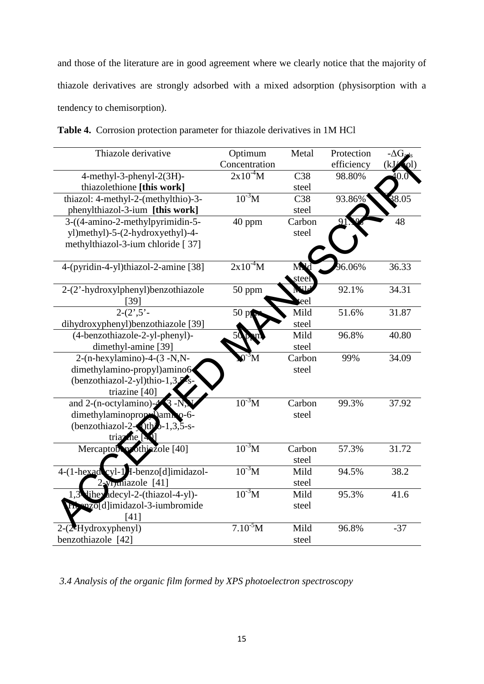and those of the literature are in good agreement where we clearly notice that the majority of thiazole derivatives are strongly adsorbed with a mixed adsorption (physisorption with a tendency to chemisorption).

| Thiazole derivative                                             | Optimum       | Metal           | Protection | $-\Delta G_{\rm a}$ |
|-----------------------------------------------------------------|---------------|-----------------|------------|---------------------|
|                                                                 | Concentration |                 | efficiency | k.                  |
| 4-methyl-3-phenyl-2(3H)-                                        | $2x10^{-4}M$  | C <sub>38</sub> | 98.80%     |                     |
| thiazolethione [this work]                                      |               | steel           |            |                     |
| thiazol: 4-methyl-2-(methylthio)-3-                             | $10^{3}$ M    | C <sub>38</sub> | 93.86%     | $\frac{5}{8}8.05$   |
| phenylthiazol-3-ium [this work]                                 |               | steel           |            |                     |
| 3-((4-amino-2-methylpyrimidin-5-                                | 40 ppm        | Carbon          |            | 48                  |
| yl)methyl)-5-(2-hydroxyethyl)-4-                                |               | steel           |            |                     |
| methylthiazol-3-ium chloride [37]                               |               |                 |            |                     |
| 4-(pyridin-4-yl)thiazol-2-amine [38]                            | $2x10^4M$     | MУ              | 96.06%     | 36.33               |
|                                                                 |               | teel            |            |                     |
| 2-(2'-hydroxylphenyl)benzothiazole                              | 50 ppm        |                 | 92.1%      | 34.31               |
| $[39]$                                                          |               | eel             |            |                     |
| $\frac{1}{2-(2,5)}$                                             | 50 pp         | Mild            | 51.6%      | 31.87               |
| dihydroxyphenyl)benzothiazole [39]                              |               | steel           |            |                     |
| (4-benzothiazole-2-yl-phenyl)-                                  |               | Mild            | 96.8%      | 40.80               |
| dimethyl-amine [39]                                             |               | steel           |            |                     |
| $2-(n-hexylamino)-4-(3-N,N-$                                    |               | Carbon          | 99%        | 34.09               |
| dimethylamino-propyl)amino6                                     |               | steel           |            |                     |
| (benzothiazol-2-yl)thio-1,3 $\frac{5}{8}$ s                     |               |                 |            |                     |
| triazine [40]                                                   | $10^{3}$ M    |                 |            |                     |
| and 2-(n-octylamino)- $\frac{2}{3}$<br>$\mathsf{S}$ -N          |               | Carbon          | 99.3%      | 37.92               |
| dimethylaminopropy amh 0-6-<br>$(benzothiazol-2-1)thz-1,3,5-s-$ |               | steel           |            |                     |
| triaz                                                           |               |                 |            |                     |
| $\text{Me}$ $\vert$<br>Mercaptob prothinzole [40]               | $10^{3}$ M    | Carbon          | 57.3%      | 31.72               |
|                                                                 |               | steel           |            |                     |
| cyl-1 H-benzo[d]imidazol-<br>$4-(1-hexad)$                      | $10^{3}$ M    | Mild            | 94.5%      | 38.2                |
| 2-yimiazole [41]                                                |               | steel           |            |                     |
| lihey adecyl-2-(thiazol-4-yl)-                                  | $10^{3}$ M    | Mild            | 95.3%      | 41.6                |
| the mzoldlimidazol-3-iumbromide                                 |               | steel           |            |                     |
| [41]                                                            |               |                 |            |                     |
| $2-(2$ Hydroxyphenyl)                                           | $7.10^{5}$ M  | Mild            | 96.8%      | $-37$               |
| benzothiazole [42]                                              |               | steel           |            |                     |
|                                                                 |               |                 |            |                     |

**Table 4.** Corrosion protection parameter for thiazole derivatives in 1M HCl

*3.4 Analysis of the organic film formed by XPS photoelectron spectroscopy*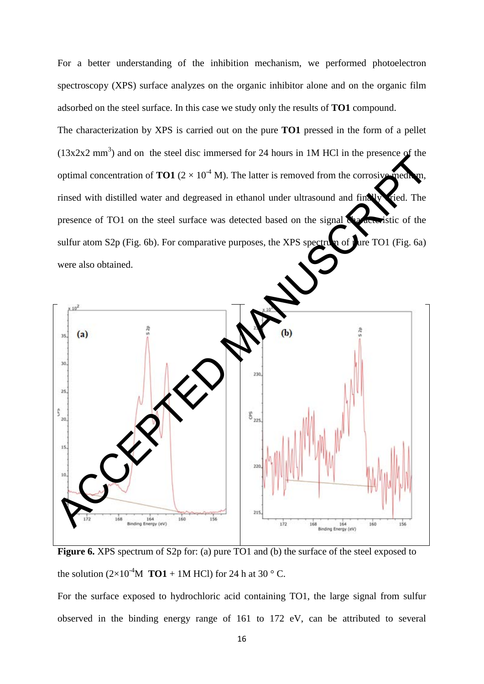For a better understanding of the inhibition mechanism, we performed photoelectron spectroscopy (XPS) surface analyzes on the organic inhibitor alone and on the organic film adsorbed on the steel surface. In this case we study only the results of **TO1** compound.

The characterization by XPS is carried out on the pure **TO1** pressed in the form of a pellet  $(13x2x2 \text{ mm}^3)$  and on the steel disc immersed for 24 hours in 1M HCl in the presence of the optimal concentration of **TO1** ( $2 \times 10^{-4}$  M). The latter is removed from the corrosive medi rinsed with distilled water and degreased in ethanol under ultrasound and finally ried. The presence of TO1 on the steel surface was detected based on the signal  $\mathcal{R}_{\text{1}}$  and strategistic of the sulfur atom S2p (Fig. 6b). For comparative purposes, the XPS spectrum of pure TO1 (Fig. 6a) were also obtained.



**Figure 6.** XPS spectrum of S2p for: (a) pure TO1 and (b) the surface of the steel exposed to the solution  $(2\times10^{-4}M$  **TO1** + 1M HCl) for 24 h at 30 ° C.

For the surface exposed to hydrochloric acid containing TO1, the large signal from sulfur observed in the binding energy range of 161 to 172 eV, can be attributed to several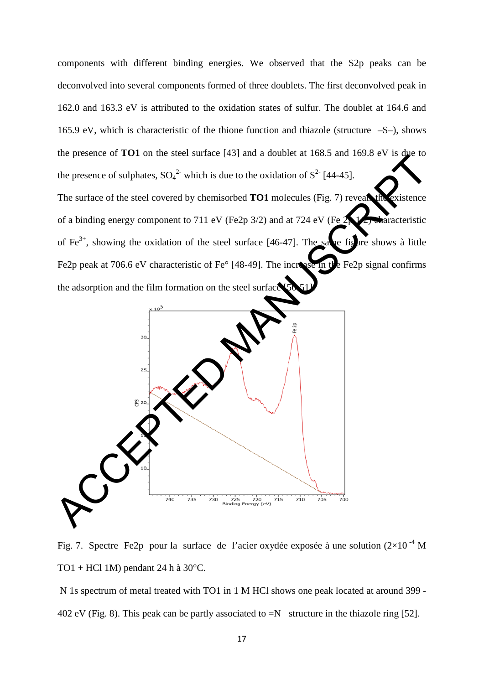components with different binding energies. We observed that the S2p peaks can be deconvolved into several components formed of three doublets. The first deconvolved peak in 162.0 and 163.3 eV is attributed to the oxidation states of sulfur. The doublet at 164.6 and 165.9 eV, which is characteristic of the thione function and thiazole (structure –S–), shows the presence of **TO1** on the steel surface [43] and a doublet at 168.5 and 169.8 eV is due to the presence of sulphates,  $SO_4^2$  which is due to the oxidation of  $S^2$  [44-45]. The surface of the steel covered by chemisorbed **TO1** molecules (Fig. 7) reveals the existence of a binding energy component to 711 eV (Fe2p 3/2) and at 724 eV (Fe 2p 1/2) characteristic of Fe<sup>3+</sup>, showing the oxidation of the steel surface [46-47]. The same figure shows à little Fe2p peak at 706.6 eV characteristic of Fe° [48-49]. The increase in the Fe2p signal confirms the adsorption and the film formation on the steel surface



Fig. 7. Spectre Fe2p pour la surface de l'acier oxydée exposée à une solution ( $2\times10^{-4}$  M TO1 + HCl 1M) pendant 24 h à  $30^{\circ}$ C.

N 1s spectrum of metal treated with TO1 in 1 M HCl shows one peak located at around 399 - 402 eV (Fig. 8). This peak can be partly associated to =N− structure in the thiazole ring [52].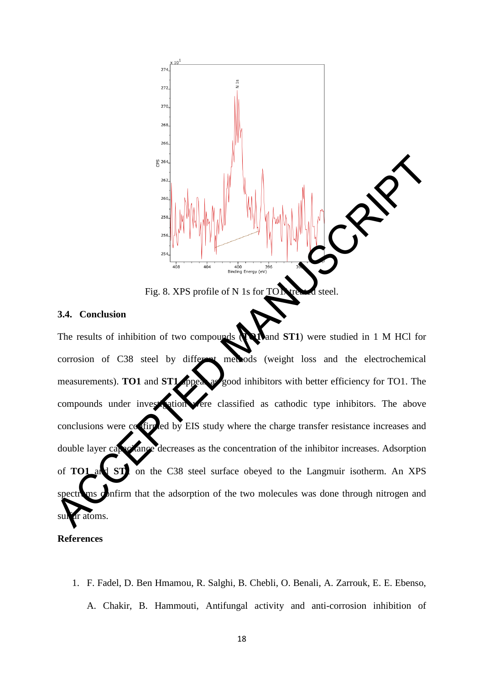

#### **3.4. Conclusion**

The results of inhibition of two compounds (**TO1** and **ST1**) were studied in 1 M HCl for corrosion of C38 steel by different methods (weight loss and the electrochemical measurements). **TO1** and **ST1** appear as good inhibitors with better efficiency for TO1. The compounds under investigation were classified as cathodic type inhibitors. The above conclusions were confirmed by EIS study where the charge transfer resistance increases and double layer capacitance decreases as the concentration of the inhibitor increases. Adsorption of **TO1** and **ST1** on the C38 steel surface obeyed to the Langmuir isotherm. An XPS spectroms confirm that the adsorption of the two molecules was done through nitrogen and sulfur atoms. Fig. 8. XPS profile of N 1s for TOM steel.<br>
The results of inhibition of two components and the electrochemical measurements). TOT and STL produces (weight loss and the electrochemical measurements). TOT and STL produces

#### **References**

1. F. Fadel, D. Ben Hmamou, R. Salghi, B. Chebli, O. Benali, A. Zarrouk, E. E. Ebenso, A. Chakir, B. Hammouti, Antifungal activity and anti-corrosion inhibition of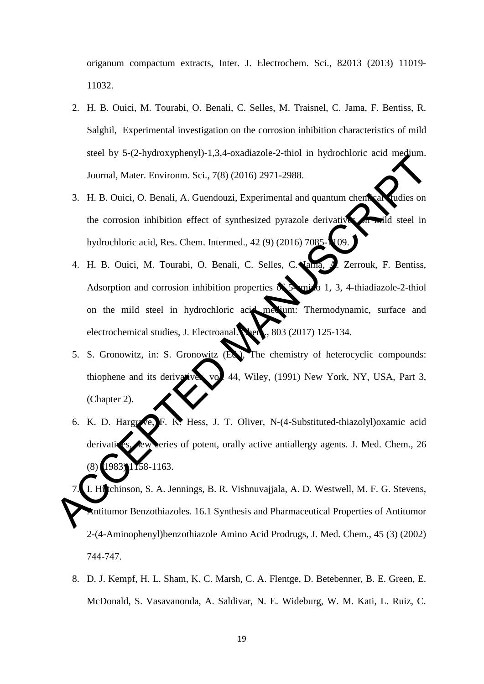origanum compactum extracts, Inter. J. Electrochem. Sci., 82013 (2013) 11019- 11032.

- 2. H. B. Ouici, M. Tourabi, O. Benali, C. Selles, M. Traisnel, C. Jama, F. Bentiss, R. Salghil, Experimental investigation on the corrosion inhibition characteristics of mild steel by 5-(2-hydroxyphenyl)-1,3,4-oxadiazole-2-thiol in hydrochloric acid medium. Journal, Mater. Environm. Sci., 7(8) (2016) 2971-2988.
- 3. H. B. Ouici, O. Benali, A. Guendouzi, Experimental and quantum chemical judies on the corrosion inhibition effect of synthesized pyrazole derivatives on mild steel in hydrochloric acid, Res. Chem. Intermed., 42 (9) (2016) 7085- $\sqrt[4]{09}$ .
- 4. H. B. Quici, M. Tourabi, O. Benali, C. Selles, C. Vama, A. Zerrouk, F. Bentiss, Adsorption and corrosion inhibition properties  $\delta$  5-amino 1, 3, 4-thiadiazole-2-thiol on the mild steel in hydrochloric acid medium: Thermodynamic, surface and electrochemical studies, J. Electroanal. Chem., 803 (2017) 125-134. Solution, Mater. Environm. Sci., 7(8) (2016) 2971-2988.<br>
Journal, Mater. Environm. Sci., 7(8) (2016) 2971-2988.<br>
3. H. B. Ouici, O. Benali, A. Guendouzi, Experimental and quantum chementaristics on<br>
the corrosion inhibitio
	- 5. S. Gronowitz, in: S. Gronowitz (Ed.), The chemistry of heterocyclic compounds: thiophene and its derivatives, vol. 44, Wiley, (1991) New York, NY, USA, Part 3, (Chapter 2).
	- 6. K. D. Hargrave, F. K. Hess, J. T. Oliver, N-(4-Substituted-thiazolyl) oxamic acid derivatives, rew series of potent, orally active antiallergy agents. J. Med. Chem., 26 (8) (1983) 1158-1163.

I. Hutchinson, S. A. Jennings, B. R. Vishnuvajjala, A. D. Westwell, M. F. G. Stevens, Antitumor Benzothiazoles. 16.1 Synthesis and Pharmaceutical Properties of Antitumor 2-(4-Aminophenyl)benzothiazole Amino Acid Prodrugs, J. Med. Chem., 45 (3) (2002) 744-747.

8. D. J. Kempf, H. L. Sham, K. C. Marsh, C. A. Flentge, D. Betebenner, B. E. Green, E. McDonald, S. Vasavanonda, A. Saldivar, N. E. Wideburg, W. M. Kati, L. Ruiz, C.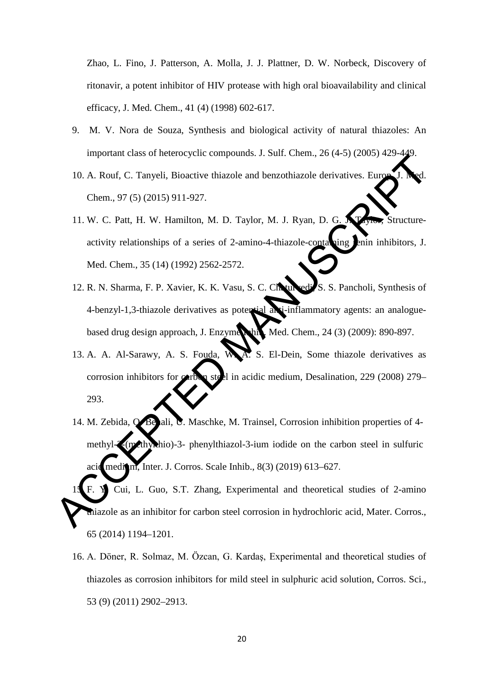Zhao, L. Fino, J. Patterson, A. Molla, J. J. Plattner, D. W. Norbeck, [Discovery of](https://pubs.acs.org/doi/10.1021/jm970636%2B)  ritonavir, a potent inhibitor [of HIV protease with high oral bioavailability and clinical](https://pubs.acs.org/doi/10.1021/jm970636%2B)  [efficacy,](https://pubs.acs.org/doi/10.1021/jm970636%2B) J. Med. Chem., 41 (4) (1998) 602-617.

- 9. [M. V. Nora de Souza,](https://www.tandfonline.com/author/de+Souza%2C+Marcus+Vin%C3%ADcius+Nora) Synthesis and biological activity of natural thiazoles: An important class of heterocyclic compounds. J. Sulf. Chem., 26 (4-5) (2005) 429-449.
- 10. A. Rouf, C. Tanyeli, Bioactive thiazole and benzothiazole derivatives. Euro Chem., 97 (5) (2015) 911-927.
- 11. W. C. Patt, H. W. Hamilton, M. D. Taylor, M. J. Ryan, D. G. N. Taylor, Structureactivity relationships of a series of 2-amino-4-thiazole-containing renin inhibitors, J. Med. Chem., 35 (14) (1992) 2562-2572.
- 12. R. N. Sharma, F. P. Xavier, K. K. Vasu, S. C. Chaturvedi, S. S. Pancholi, Synthesis of 4-benzyl-1,3-thiazole derivatives as potential anti-inflammatory agents: an analoguebased drug design approach, J. Enzyme Inhib. Med. Chem., 24 (3) (2009): 890-897. ACCEPTER CONSULTED MANU[SCRI](https://pubs.acs.org/doi/10.1021/jm00092a006)PT CONSULTED SERVE CONSULTED MANUSCRIPT CONSULTED MANUSCRIPT CONSULTED MANUSCRIPT CONSULTED MANUSCRIPT CONSULTED MANUSCRIPT CONSULTED MANUSCRIPT CONSULTED MANUSCRIPT CONSULTED MANUSCRIPT (SCALE A
	- 13. A. A. Al-Sarawy, A. S. Fouda, W. A. S. El-Dein, Some thiazole derivatives as corrosion inhibitors for carbon steel in acidic medium, Desalination, 229 (2008) 279– 293.
	- 14. M. Zebida, O. Benali, U. Maschke, M. Trainsel, Corrosion inhibition properties of 4methyl-2-(mcthylhio)-3- phenylthiazol-3-ium iodide on the carbon steel in sulfuric acid medium, Inter. J. Corros. Scale Inhib.,  $8(3)$  (2019) 613–627.

F. Y. Cui, L. Guo, S.T. Zhang, Experimental and theoretical studies of 2-amino thiazole as an inhibitor for carbon steel corrosion in hydrochloric acid, Mater. Corros., 65 (2014) 1194–1201.

16. A. Döner, R. Solmaz, M. Özcan, G. Kardaş, Experimental and theoretical studies of thiazoles as corrosion inhibitors for mild steel in sulphuric acid solution, Corros. Sci., 53 (9) (2011) 2902–2913.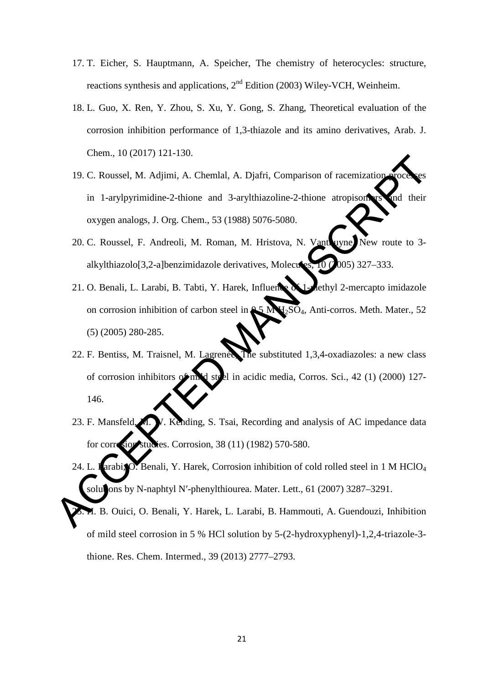- 17. T. Eicher, S. Hauptmann, A. Speicher, The chemistry of heterocycles: structure, reactions synthesis and applications, 2<sup>nd</sup> Edition (2003) Wiley-VCH, Weinheim.
- 18. L. Guo, X. Ren, Y. Zhou, S. Xu, Y. Gong, S. Zhang, Theoretical evaluation of the corrosion inhibition performance of 1,3-thiazole and its amino derivatives, Arab. J. Chem., 10 (2017) 121-130.
- 19. C. Roussel, M. Adjimi, A. Chemlal, A. Djafri, Comparison of racemization in 1-arylpyrimidine-2-thione and 3-arylthiazoline-2-thione atropisomers and their oxygen analogs, J. Org. Chem., 53 (1988) 5076-5080.
- 20. C. Roussel, F. Andreoli, M. Roman, M. Hristova, N. Vanthuyne, New route to 3 alkylthiazolo[3,2-a]benzimidazole derivatives, Molecules,  $10$  ( $2005$ ) 327–333.
- 21. O. Benali, L. Larabi, B. Tabti, Y. Harek, Influence of 1-methyl 2-mercapto imidazole on corrosion inhibition of carbon steel in  $\triangle 5$  M H<sub>2</sub>SO<sub>4</sub>, Anti-corros. Meth. Mater., 52 (5) (2005) 280-285.
- 22. F. Bentiss, M. Traisnel, M. Lagrenée, The substituted 1,3,4-oxadiazoles: a new class of corrosion inhibitors of mild steel in acidic media, Corros. Sci., 42 (1) (2000) 127- 146. 19. C. Roussel, M. Adjimi, A. Chemlal, A. Djafri, Comparison of racemization and a large line of the corresponding Manuscript (and the corresponding Manuscript (and the corresponding Manuscript (and the corresponding Manus
	- 23. F. Mansfeld, M. W. Kending, S. Tsai, Recording and analysis of AC impedance data for corresponding studies. Corrosion, 38 (11) (1982) 570-580.
	- 24. L. Larabi, O. Benali, Y. Harek, Corrosion inhibition of cold rolled steel in 1 M HClO<sub>4</sub> solutions by N-naphtyl N'-phenylthiourea. Mater. Lett., 61 (2007) 3287–3291.
	- 25. H. B. Ouici, O. Benali, Y. Harek, L. Larabi, B. Hammouti, A. Guendouzi, Inhibition of mild steel corrosion in 5 % HCl solution by 5-(2-hydroxyphenyl)-1,2,4-triazole-3 thione. [Res. Chem. Intermed.](https://link.springer.com/journal/11164), 39 (2013) 2777–2793.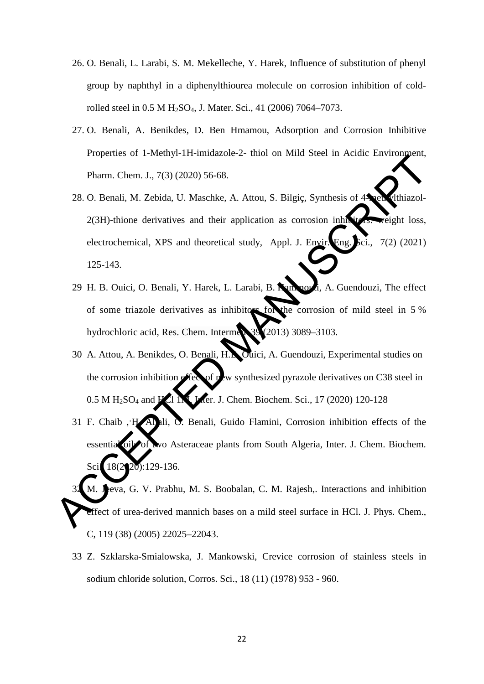- 26. O. Benali, L. Larabi, S. M. Mekelleche, Y. Harek, Influence of substitution of phenyl group by naphthyl in a diphenylthiourea molecule on corrosion inhibition of coldrolled steel in 0.5 M H<sub>2</sub>SO<sub>4</sub>, J. Mater. Sci., 41 (2006) 7064–7073.
- 27. O. Benali, A. Benikdes, D. Ben Hmamou, Adsorption and Corrosion Inhibitive Properties of 1-Methyl-1H-imidazole-2- thiol on Mild Steel in Acidic Environment, Pharm. Chem. J., 7(3) (2020) 56-68.
- 28. O. Benali, M. Zebida, U. Maschke, A. Attou, S. Bilgiç, Synthesis of 4 methylthiazol- $2(3H)$ -thione derivatives and their application as corrosion inhibitors: weight loss, electrochemical, XPS and theoretical study, Appl. J. Envir. Eng. Sci., 7(2) (2021) 125-143. Figures of Triedity 111 minimizes 2 and the barriers of a New Section Pharm. Chem, J., 7(3) (2020) 56-68.<br>
28. O. Benali, M. Zebida, U. Maschke, A. Attou, S. Bilgiç, Synthesis of 4<br>
2(3H)-thione derivatives and their appl
	- 29 H. B. Ouici, O. Benali, Y. Harek, L. Larabi, B. Hammouti, A. Guendouzi, The effect of some triazole derivatives as inhibitors for the corrosion of mild steel in 5 % hydrochloric acid, Res. Chem. Intermed. 39 (2013) 3089-3103.
	- 30 A. Attou, A. Benikdes, O. Benali, H.B. Ouici, A. Guendouzi, Experimental studies on the corrosion inhibition effect of new synthesized pyrazole derivatives on C38 steel in  $0.5 \text{ M H}_2\text{SO}_4$  and  $\text{H}_2$  1 M, Inter. J. Chem. Biochem. Sci., 17 (2020) 120-128
	- 31 F. Chaib ,·H. Allali, O. Benali, Guido Flamini, Corrosion inhibition effects of the essential oil of two Asteraceae plants from South Algeria, Inter. J. Chem. Biochem. Sci. 18(2020):129-136.

M. **Je**eva, G. V. Prabhu, M. S. Boobalan, C. M. Rajesh,. Interactions and inhibition effect of urea-derived mannich bases on a mild steel surface in HCl. J. Phys. Chem., C, 119 (38) (2005) 22025–22043.

33 Z. Szklarska-Smialowska, J. Mankowski, Crevice corrosion of stainless steels in sodium chloride solution, Corros. Sci., 18 (11) (1978) 953 - 960.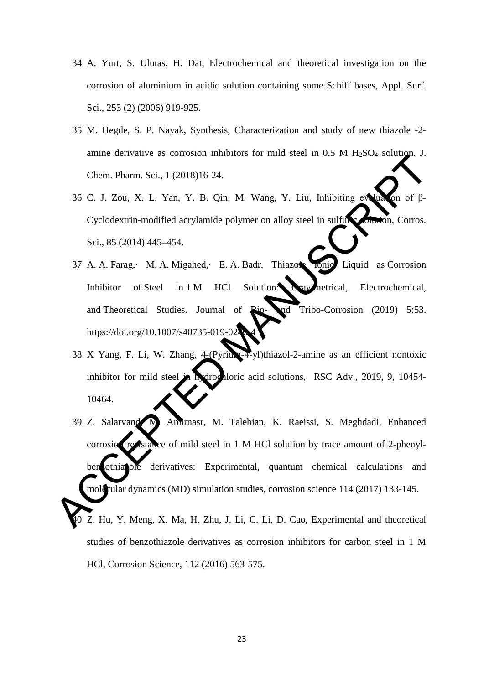- 34 A. Yurt, S. Ulutas, H. Dat, Electrochemical and theoretical investigation on the corrosion of aluminium in acidic solution containing some Schiff bases, Appl. Surf. Sci., 253 (2) (2006) 919-925.
- 35 M. Hegde, S. P. Nayak, Synthesis, Characterization and study of new thiazole -2 amine derivative as corrosion inhibitors for mild steel in  $0.5$  M  $H<sub>2</sub>SO<sub>4</sub>$  solution. J. Chem. Pharm. Sci., 1 (2018)16-24.
- 36 C. J. Zou, X. L. Yan, Y. B. Qin, M. Wang, Y. Liu, Inhibiting evaluation of β-Cyclodextrin-modified acrylamide polymer on alloy steel in sulfuric consistent, Corros. Sci., 85 (2014) 445–454.
- 37 A. A. Farag,· M. A. Migahed,· E. A. Badr, Thiazole Ionic Liquid as Corrosion Inhibitor of Steel in 1 M HCl Solution: Gravimetrical, Electrochemical, and Theoretical Studies. Journal of  $\mathbb{R}$ io- $\mathbb{R}$ d Tribo-Corrosion (2019) 5:53. https://doi.org/10.1007/s40735-019-02
- 38 X Yang, F. Li, W. Zhang, 4-(Pyridin-4-yl)thiazol-2-amine as an efficient nontoxic inhibitor for mild steel in hydrochloric acid solutions, RSC Adv., 2019, 9, 10454-10464.
- 39 Z. Salarvand, M. Amirnasr, M. Talebian, K. Raeissi, S. Meghdadi, Enhanced  $corrosio$  resistance of mild steel in 1 M HCl solution by trace amount of 2-phenylben othiazole derivatives: Experimental, quantum chemical calculations and molecular dynamics (MD) simulation studies, corrosion science 114 (2017) 133-145. Z. Hu, Y. Meng, X. Ma, H. Zhu, J. Li, C. Li, D. Cao, Experimental and theoretical Chem. Pharm. Sci., 1 (2018)16-24.<br>
36 C. J. Zou, X. L. Yan, Y. B. Qin. M. Wang. Y. Liu, Inhibiting experience of properties and Collection-modified acrylamide polymer on alloy steel in sulfuse Cyclodextrin-modified acryla

studies of benzothiazole derivatives as corrosion inhibitors for carbon steel in 1 M HCl, [Corrosion Science,](https://www.sciencedirect.com/science/journal/0010938X) [112](https://www.sciencedirect.com/science/journal/0010938X/112/supp/C) (2016) 563-575.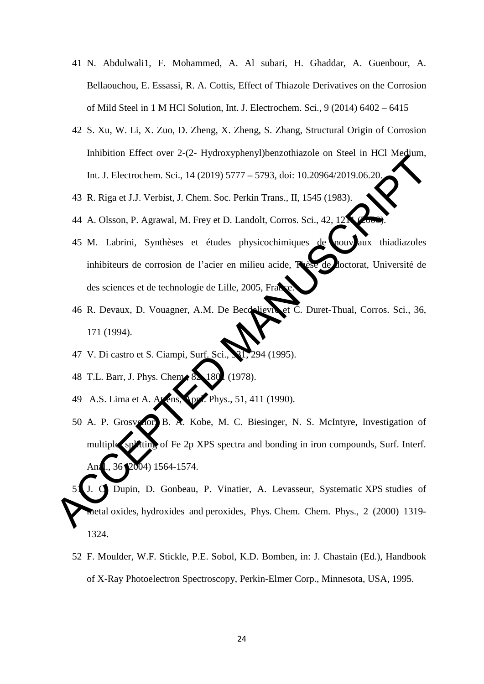- 41 N. Abdulwali1, F. Mohammed, A. Al subari, H. Ghaddar, A. Guenbour, A. Bellaouchou, E. Essassi, R. A. Cottis, Effect of Thiazole Derivatives on the Corrosion of Mild Steel in 1 M HCl Solution, Int. J. Electrochem. Sci., 9 (2014) 6402 – 6415
- 42 S. Xu, W. Li, X. Zuo, D. Zheng, X. Zheng, S. Zhang, Structural Origin of Corrosion Inhibition Effect over 2-(2- Hydroxyphenyl)benzothiazole on Steel in HCl Medium, Int. J. Electrochem. Sci., 14 (2019) 5777 – 5793, doi: 10.20964/2019.06.20.
- 43 R. Riga et J.J. Verbist, J. Chem. Soc. Perkin Trans., II, 1545 (1983).
- 44 A. Olsson, P. Agrawal, M. Frey et D. Landolt, Corros. Sci., 42, 12
- 45 M. Labrini, Synthèses et études physicochimiques de nouveaux thiadiazoles inhibiteurs de corrosion de l'acier en milieu acide, Thèse de doctorat, Université de des sciences et de technologie de Lille, 2005, France.
- 46 R. Devaux, D. Vouagner, A.M. De Becdelievre et C. Duret-Thual, Corros. Sci., 36, 171 (1994).
- 47 V. Di castro et S. Ciampi, Surf. Sci., 31, 294 (1995).
- 48 T.L. Barr, J. Phys. Chem., 82, 180 (1978).
- 49 A.S. Lima et A. Atrens, **Spr. Phys.**, 51, 411 (1990).
- 50 A. P. Grosvenor, B. A. Kobe, M. C. Biesinger, N. S. McIntyre, Investigation of multiple splitting of Fe 2p XPS spectra and bonding in iron compounds, Surf. Interf. Anal.,  $36$  ( $2004$ )  $1564 - 1574$ . Internation Enter ord 2 (2 A) stocky participosamentalistic ord and the method.<br>
Int. J. Electrochem, Sci., 14 (2019) 5777 - 5793, doi: 10.20964/2019.06.20<br>
43 R. Riga et J.J. Verbist, J. Chem. Soc. Perkin Trans., II. 1545
	- 51 J. C. Dupin, D. Gonbeau, P. Vinatier, A. Levasseur, Systematic XPS studies of metal oxides, hydroxides and peroxides, Phys. Chem. Chem. Phys., 2 (2000) 1319- 1324.
		- 52 F. Moulder, W.F. Stickle, P.E. Sobol, K.D. Bomben, in: J. Chastain (Ed.), Handbook of X-Ray Photoelectron Spectroscopy, Perkin-Elmer Corp., Minnesota, USA, 1995.